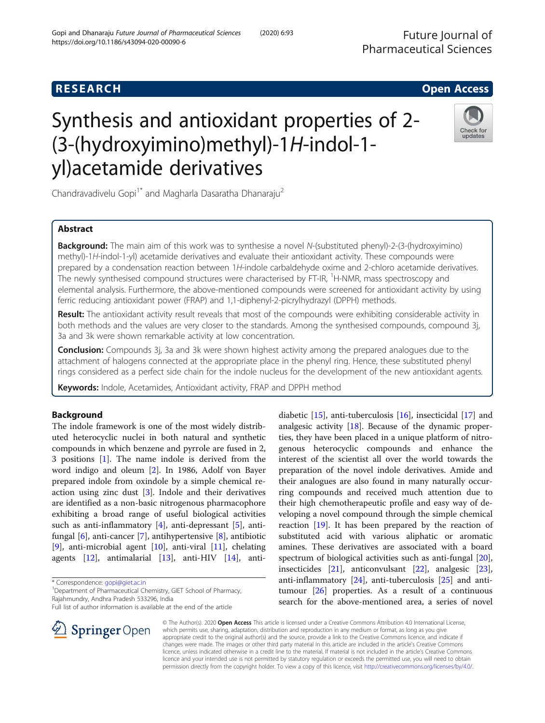Future Journal of Pharmaceutical Sciences

## **RESEARCH CHE Open Access**

# Synthesis and antioxidant properties of 2- (3-(hydroxyimino)methyl)-1H-indol-1 yl)acetamide derivatives



Chandravadivelu Gopi<sup>1\*</sup> and Magharla Dasaratha Dhanaraju<sup>2</sup>

## Abstract

**Background:** The main aim of this work was to synthesise a novel N-(substituted phenyl)-2-(3-(hydroxyimino) methyl)-1H-indol-1-yl) acetamide derivatives and evaluate their antioxidant activity. These compounds were prepared by a condensation reaction between 1H-indole carbaldehyde oxime and 2-chloro acetamide derivatives. .<br>The newly synthesised compound structures were characterised by FT-IR, <sup>1</sup>H-NMR, mass spectroscopy and elemental analysis. Furthermore, the above-mentioned compounds were screened for antioxidant activity by using ferric reducing antioxidant power (FRAP) and 1,1-diphenyl-2-picrylhydrazyl (DPPH) methods.

Result: The antioxidant activity result reveals that most of the compounds were exhibiting considerable activity in both methods and the values are very closer to the standards. Among the synthesised compounds, compound 3j, 3a and 3k were shown remarkable activity at low concentration.

**Conclusion:** Compounds 3j, 3a and 3k were shown highest activity among the prepared analogues due to the attachment of halogens connected at the appropriate place in the phenyl ring. Hence, these substituted phenyl rings considered as a perfect side chain for the indole nucleus for the development of the new antioxidant agents.

Keywords: Indole, Acetamides, Antioxidant activity, FRAP and DPPH method

## Background

The indole framework is one of the most widely distributed heterocyclic nuclei in both natural and synthetic compounds in which benzene and pyrrole are fused in 2, 3 positions [[1\]](#page-8-0). The name indole is derived from the word indigo and oleum [[2\]](#page-8-0). In 1986, Adolf von Bayer prepared indole from oxindole by a simple chemical reaction using zinc dust [[3\]](#page-8-0). Indole and their derivatives are identified as a non-basic nitrogenous pharmacophore exhibiting a broad range of useful biological activities such as anti-inflammatory  $[4]$ , anti-depressant  $[5]$  $[5]$ , antifungal [\[6\]](#page-8-0), anti-cancer [[7\]](#page-8-0), antihypertensive [[8\]](#page-8-0), antibiotic [[9\]](#page-9-0), anti-microbial agent  $[10]$  $[10]$ , anti-viral  $[11]$  $[11]$ , chelating agents [[12\]](#page-9-0), antimalarial [[13\]](#page-9-0), anti-HIV [\[14\]](#page-9-0), anti-

\* Correspondence: [gopi@giet.ac.in](mailto:gopi@giet.ac.in) <sup>1</sup>

 $\perp$  Springer Open

<sup>1</sup> Department of Pharmaceutical Chemistry, GIET School of Pharmacy, Rajahmundry, Andhra Pradesh 533296, India

Full list of author information is available at the end of the article



© The Author(s). 2020 Open Access This article is licensed under a Creative Commons Attribution 4.0 International License, which permits use, sharing, adaptation, distribution and reproduction in any medium or format, as long as you give appropriate credit to the original author(s) and the source, provide a link to the Creative Commons licence, and indicate if changes were made. The images or other third party material in this article are included in the article's Creative Commons licence, unless indicated otherwise in a credit line to the material. If material is not included in the article's Creative Commons licence and your intended use is not permitted by statutory regulation or exceeds the permitted use, you will need to obtain permission directly from the copyright holder. To view a copy of this licence, visit <http://creativecommons.org/licenses/by/4.0/>.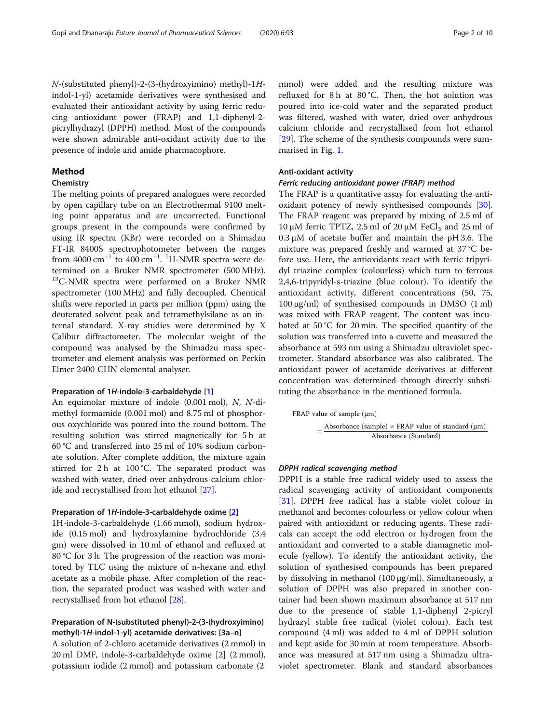N-(substituted phenyl)-2-(3-(hydroxyimino) methyl)-1Hindol-1-yl) acetamide derivatives were synthesised and evaluated their antioxidant activity by using ferric reducing antioxidant power (FRAP) and 1,1-diphenyl-2 picrylhydrazyl (DPPH) method. Most of the compounds were shown admirable anti-oxidant activity due to the presence of indole and amide pharmacophore.

#### Method

## **Chemistry**

The melting points of prepared analogues were recorded by open capillary tube on an Electrothermal 9100 melting point apparatus and are uncorrected. Functional groups present in the compounds were confirmed by using IR spectra (KBr) were recorded on a Shimadzu FT-IR 8400S spectrophotometer between the ranges from  $4000 \text{ cm}^{-1}$  to  $400 \text{ cm}^{-1}$ . <sup>1</sup>H-NMR spectra were determined on a Bruker NMR spectrometer (500 MHz). <sup>13</sup>C-NMR spectra were performed on a Bruker NMR spectrometer (100 MHz) and fully decoupled. Chemical shifts were reported in parts per million (ppm) using the deuterated solvent peak and tetramethylsilane as an internal standard. X-ray studies were determined by X Calibur diffractometer. The molecular weight of the compound was analysed by the Shimadzu mass spectrometer and element analysis was performed on Perkin Elmer 2400 CHN elemental analyser.

#### Preparation of 1H-indole-3-carbaldehyde [[1\]](#page-8-0)

An equimolar mixture of indole (0.001 mol), N, N-dimethyl formamide (0.001 mol) and 8.75 ml of phosphorous oxychloride was poured into the round bottom. The resulting solution was stirred magnetically for 5 h at 60 °C and transferred into 25 ml of 10% sodium carbonate solution. After complete addition, the mixture again stirred for 2 h at 100 °C. The separated product was washed with water, dried over anhydrous calcium chloride and recrystallised from hot ethanol [\[27](#page-9-0)].

#### Preparation of 1H-indole-3-carbaldehyde oxime [\[2\]](#page-8-0)

1H-indole-3-carbaldehyde (1.66 mmol), sodium hydroxide (0.15 mol) and hydroxylamine hydrochloride (3.4 gm) were dissolved in 10 ml of ethanol and refluxed at 80 °C for 3 h. The progression of the reaction was monitored by TLC using the mixture of n-hexane and ethyl acetate as a mobile phase. After completion of the reaction, the separated product was washed with water and recrystallised from hot ethanol [\[28](#page-9-0)].

## Preparation of N-(substituted phenyl)-2-(3-(hydroxyimino) methyl)-1H-indol-1-yl) acetamide derivatives: [3a–n]

A solution of 2-chloro acetamide derivatives (2 mmol) in 20 ml DMF, indole-3-carbaldehyde oxime [[2\]](#page-8-0) (2 mmol), potassium iodide (2 mmol) and potassium carbonate (2

mmol) were added and the resulting mixture was refluxed for 8 h at 80 °C. Then, the hot solution was poured into ice-cold water and the separated product was filtered, washed with water, dried over anhydrous calcium chloride and recrystallised from hot ethanol [[29\]](#page-9-0). The scheme of the synthesis compounds were summarised in Fig. [1](#page-2-0).

#### Anti-oxidant activity

## Ferric reducing antioxidant power (FRAP) method

The FRAP is a quantitative assay for evaluating the antioxidant potency of newly synthesised compounds [\[30](#page-9-0)]. The FRAP reagent was prepared by mixing of 2.5 ml of 10 μM ferric TPTZ, 2.5 ml of 20 μM FeCl<sub>3</sub> and 25 ml of  $0.3 \mu$ M of acetate buffer and maintain the pH 3.6. The mixture was prepared freshly and warmed at 37 °C before use. Here, the antioxidants react with ferric tripyridyl triazine complex (colourless) which turn to ferrous 2,4,6-tripyridyl-s-triazine (blue colour). To identify the antioxidant activity, different concentrations (50, 75, 100 μg/ml) of synthesised compounds in DMSO (1 ml) was mixed with FRAP reagent. The content was incubated at 50 °C for 20 min. The specified quantity of the solution was transferred into a cuvette and measured the absorbance at 593 nm using a Shimadzu ultraviolet spectrometer. Standard absorbance was also calibrated. The antioxidant power of acetamide derivatives at different concentration was determined through directly substituting the absorbance in the mentioned formula.

FRAP value of sample (µm)

\n
$$
= \frac{Absorbance\ (sample)\times FRAP\ value\ of\ standard\ (\mu m)}{Absorbance\ (Standard)}
$$

### DPPH radical scavenging method

DPPH is a stable free radical widely used to assess the radical scavenging activity of antioxidant components [[31\]](#page-9-0). DPPH free radical has a stable violet colour in methanol and becomes colourless or yellow colour when paired with antioxidant or reducing agents. These radicals can accept the odd electron or hydrogen from the antioxidant and converted to a stable diamagnetic molecule (yellow). To identify the antioxidant activity, the solution of synthesised compounds has been prepared by dissolving in methanol (100 μg/ml). Simultaneously, a solution of DPPH was also prepared in another container had been shown maximum absorbance at 517 nm due to the presence of stable 1,1-diphenyl 2-picryl hydrazyl stable free radical (violet colour). Each test compound (4 ml) was added to 4 ml of DPPH solution and kept aside for 30 min at room temperature. Absorbance was measured at 517 nm using a Shimadzu ultraviolet spectrometer. Blank and standard absorbances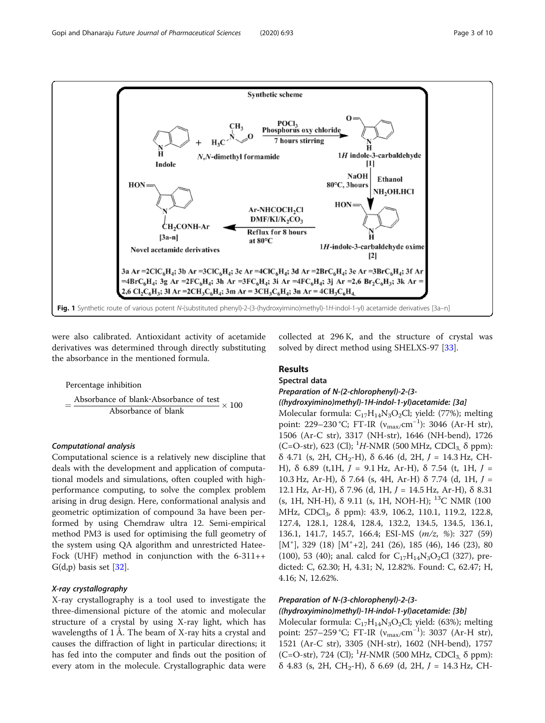<span id="page-2-0"></span>

were also calibrated. Antioxidant activity of acetamide derivatives was determined through directly substituting the absorbance in the mentioned formula.

Percentage inhibition  $=\frac{Absorbance\;of\;blank-Absorbance\;of\;test}{S}$ Absorbance of blank  $\times$  100

## Computational analysis

Computational science is a relatively new discipline that deals with the development and application of computational models and simulations, often coupled with highperformance computing, to solve the complex problem arising in drug design. Here, conformational analysis and geometric optimization of compound 3a have been performed by using Chemdraw ultra 12. Semi-empirical method PM3 is used for optimising the full geometry of the system using QA algorithm and unrestricted Hatee-Fock (UHF) method in conjunction with the  $6-311++$  $G(d,p)$  basis set  $[32]$  $[32]$ .

## X-ray crystallography

X-ray crystallography is a tool used to investigate the three-dimensional picture of the atomic and molecular structure of a crystal by using X-ray light, which has wavelengths of 1 Å. The beam of X-ray hits a crystal and causes the diffraction of light in particular directions; it has fed into the computer and finds out the position of every atom in the molecule. Crystallographic data were collected at 296 K, and the structure of crystal was solved by direct method using SHELXS-97 [[33\]](#page-9-0).

## Results

## Spectral data

## Preparation of N-(2-chlorophenyl)-2-(3-

#### ((hydroxyimino)methyl)-1H-indol-1-yl)acetamide: [3a]

Molecular formula:  $C_{17}H_{14}N_3O_2Cl$ ; yield: (77%); melting point: 229–230 °C; FT-IR (v<sub>max/</sub>cm<sup>-1</sup>): 3046 (Ar-H str), 1506 (Ar-C str), 3317 (NH-str), 1646 (NH-bend), 1726 (C=O-str), 623 (Cl); <sup>1</sup>H-NMR (500 MHz, CDCl<sub>3,</sub>  $\delta$  ppm): δ 4.71 (s, 2H, CH<sub>2</sub>-H), δ 6.46 (d, 2H,  $J = 14.3$  Hz, CH-H), δ 6.89 (t, 1H,  $J = 9.1$  Hz, Ar-H), δ 7.54 (t, 1H,  $J =$ 10.3 Hz, Ar-H), δ 7.64 (s, 4H, Ar-H) δ 7.74 (d, 1H,  $J =$ 12.1 Hz, Ar-H), δ 7.96 (d, 1H,  $J = 14.5$  Hz, Ar-H), δ 8.31 (s, 1H, NH-H),  $\delta$  9.11 (s, 1H, NOH-H); <sup>13</sup>C NMR (100) MHz, CDCl<sub>3</sub>, δ ppm): 43.9, 106.2, 110.1, 119.2, 122.8, 127.4, 128.1, 128.4, 128.4, 132.2, 134.5, 134.5, 136.1, 136.1, 141.7, 145.7, 166.4; ESI-MS (m/z, %): 327 (59) [M<sup>+</sup> ], 329 (18) [M<sup>+</sup> +2], 241 (26), 185 (46), 146 (23), 80 (100), 53 (40); anal. calcd for  $C_{17}H_{14}N_3O_2Cl$  (327), predicted: C, 62.30; H, 4.31; N, 12.82%. Found: C, 62.47; H, 4.16; N, 12.62%.

## Preparation of N-(3-chlorophenyl)-2-(3-

## ((hydroxyimino)methyl)-1H-indol-1-yl)acetamide: [3b]

Molecular formula:  $C_{17}H_{14}N_3O_2Cl$ ; yield: (63%); melting point: 257–259 °C; FT-IR (v<sub>max/</sub>cm<sup>-1</sup>): 3037 (Ar-H str), 1521 (Ar-C str), 3305 (NH-str), 1602 (NH-bend), 1757 (C=O-str), 724 (Cl); <sup>1</sup>H-NMR (500 MHz, CDCl<sub>3,</sub>  $\delta$  ppm): δ 4.83 (s, 2H, CH<sub>2</sub>-H), δ 6.69 (d, 2H, *J* = 14.3 Hz, CH-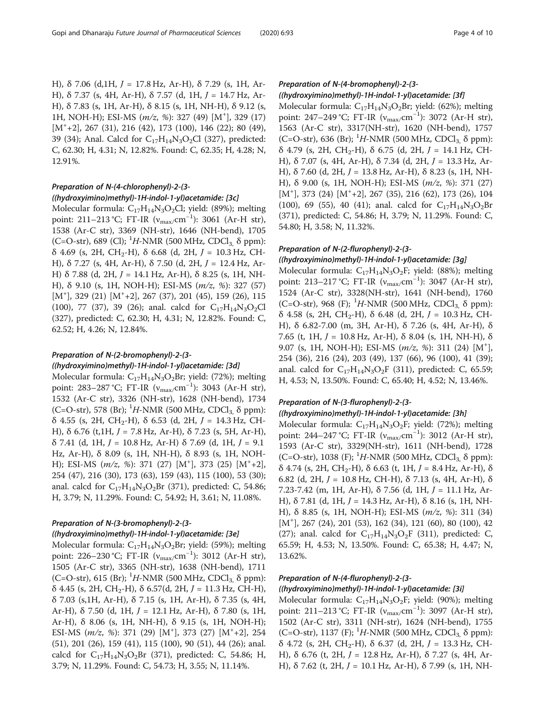H), δ 7.06 (d, 1H,  $J = 17.8$  Hz, Ar-H), δ 7.29 (s, 1H, Ar-H), δ 7.37 (s, 4H, Ar-H), δ 7.57 (d, 1H,  $J = 14.7$  Hz, Ar-H), δ 7.83 (s, 1H, Ar-H), δ 8.15 (s, 1H, NH-H), δ 9.12 (s, 1H, NOH-H); ESI-MS (m/z, %): 327 (49) [M<sup>+</sup>], 329 (17) [M<sup>+</sup> +2], 267 (31), 216 (42), 173 (100), 146 (22); 80 (49), 39 (34); Anal. Calcd for  $C_{17}H_{14}N_3O_2Cl$  (327), predicted: C, 62.30; H, 4.31; N, 12.82%. Found: C, 62.35; H, 4.28; N, 12.91%.

## Preparation of N-(4-chlorophenyl)-2-(3- ((hydroxyimino)methyl)-1H-indol-1-yl)acetamide: [3c]

Molecular formula:  $C_{17}H_{14}N_3O_2Cl$ ; yield: (89%); melting point: 211–213 °C; FT-IR ( $v_{\text{max/}cm}^{-1}$ ): 3061 (Ar-H str), 1538 (Ar-C str), 3369 (NH-str), 1646 (NH-bend), 1705 (C=O-str), 689 (Cl); <sup>1</sup>H-NMR (500 MHz, CDCl<sub>3,</sub> δ ppm): δ 4.69 (s, 2H, CH<sub>2</sub>-H), δ 6.68 (d, 2H,  $J = 10.3$  Hz, CH-H), δ 7.27 (s, 4H, Ar-H), δ 7.50 (d, 2H,  $J = 12.4$  Hz, Ar-H) δ 7.88 (d, 2H,  $J = 14.1$  Hz, Ar-H), δ 8.25 (s, 1H, NH-H), δ 9.10 (s, 1H, NOH-H); ESI-MS (m/z, %): 327 (57)  $[M<sup>+</sup>]$ , 329 (21)  $[M<sup>+</sup>+2]$ , 267 (37), 201 (45), 159 (26), 115 (100), 77 (37), 39 (26); anal. calcd for  $C_{17}H_{14}N_3O_2Cl$ (327), predicted: C, 62.30; H, 4.31; N, 12.82%. Found: C, 62.52; H, 4.26; N, 12.84%.

## Preparation of N-(2-bromophenyl)-2-(3-

#### ((hydroxyimino)methyl)-1H-indol-1-yl)acetamide: [3d]

Molecular formula:  $C_{17}H_{14}N_3O_2Br$ ; yield: (72%); melting point: 283–287 °C; FT-IR (v<sub>max/</sub>cm<sup>-1</sup>): 3043 (Ar-H str), 1532 (Ar-C str), 3326 (NH-str), 1628 (NH-bend), 1734 (C=O-str), 578 (Br); <sup>1</sup>H-NMR (500 MHz, CDCl<sub>3,</sub> δ ppm): δ 4.55 (s, 2H, CH<sub>2</sub>-H), δ 6.53 (d, 2H,  $J = 14.3$  Hz, CH-H), δ 6.76 (t, 1H,  $J = 7.8$  Hz, Ar-H), δ 7.23 (s, 5H, Ar-H), δ 7.41 (d, 1H, J = 10.8 Hz, Ar-H) δ 7.69 (d, 1H, J = 9.1 Hz, Ar-H), δ 8.09 (s, 1H, NH-H), δ 8.93 (s, 1H, NOH-H); ESI-MS  $(m/z, %): 371 (27) [M<sup>+</sup>], 373 (25) [M<sup>+</sup>+2],$ 254 (47), 216 (30), 173 (63), 159 (43), 115 (100), 53 (30); anal. calcd for  $C_{17}H_{14}N_3O_2Br$  (371), predicted: C, 54.86; H, 3.79; N, 11.29%. Found: C, 54.92; H, 3.61; N, 11.08%.

## Preparation of N-(3-bromophenyl)-2-(3-

## ((hydroxyimino)methyl)-1H-indol-1-yl)acetamide: [3e]

Molecular formula:  $C_{17}H_{14}N_3O_2Br$ ; yield: (59%); melting point: 226–230 °C; FT-IR (v<sub>max/</sub>cm<sup>-1</sup>): 3012 (Ar-H str), 1505 (Ar-C str), 3365 (NH-str), 1638 (NH-bend), 1711 (C=O-str), 615 (Br); <sup>1</sup>H-NMR (500 MHz, CDCl<sub>3,</sub>  $\delta$  ppm):  $\delta$  4.45 (s, 2H, CH<sub>2</sub>-H),  $\delta$  6.57(d, 2H, J = 11.3 Hz, CH-H), δ 7.03 (s,1H, Ar-H), δ 7.15 (s, 1H, Ar-H), δ 7.35 (s, 4H, Ar-H),  $\delta$  7.50 (d, 1H,  $J = 12.1$  Hz, Ar-H),  $\delta$  7.80 (s, 1H, Ar-H), δ 8.06 (s, 1H, NH-H), δ 9.15 (s, 1H, NOH-H); ESI-MS  $(m/z, %): 371 (29) [M<sup>+</sup>], 373 (27) [M<sup>+</sup>+2], 254$ (51), 201 (26), 159 (41), 115 (100), 90 (51), 44 (26); anal. calcd for  $C_{17}H_{14}N_3O_2Br$  (371), predicted: C, 54.86; H, 3.79; N, 11.29%. Found: C, 54.73; H, 3.55; N, 11.14%.

## Preparation of N-(4-bromophenyl)-2-(3- ((hydroxyimino)methyl)-1H-indol-1-yl)acetamide: [3f]

Molecular formula:  $C_{17}H_{14}N_3O_2Br$ ; yield: (62%); melting point: 247–249 °C; FT-IR (v<sub>max/</sub>cm<sup>-1</sup>): 3072 (Ar-H str), 1563 (Ar-C str), 3317(NH-str), 1620 (NH-bend), 1757 (C=O-str), 636 (Br); <sup>1</sup>H-NMR (500 MHz, CDCl<sub>3,</sub>  $\delta$  ppm): δ 4.79 (s, 2H, CH<sub>2</sub>-H), δ 6.75 (d, 2H,  $J = 14.1$  Hz, CH-H), δ 7.07 (s, 4H, Ar-H), δ 7.34 (d, 2H,  $J = 13.3$  Hz, Ar-H), δ 7.60 (d, 2H,  $J = 13.8$  Hz, Ar-H), δ 8.23 (s, 1H, NH-H), δ 9.00 (s, 1H, NOH-H); ESI-MS (m/z, %): 371 (27) [M<sup>+</sup> ], 373 (24) [M<sup>+</sup> +2], 267 (35), 216 (62), 173 (26), 104 (100), 69 (55), 40 (41); anal. calcd for  $C_{17}H_{14}N_3O_2Br$ (371), predicted: C, 54.86; H, 3.79; N, 11.29%. Found: C, 54.80; H, 3.58; N, 11.32%.

#### Preparation of N-(2-flurophenyl)-2-(3-

#### ((hydroxyimino)methyl)-1H-indol-1-yl)acetamide: [3g]

Molecular formula:  $C_{17}H_{14}N_3O_2F$ ; yield: (88%); melting point: 213−217 °C; FT-IR (v<sub>max/</sub>cm<sup>-1</sup>): 3047 (Ar-H str), 1524 (Ar-C str), 3328(NH-str), 1641 (NH-bend), 1760 (C=O-str), 968 (F); <sup>1</sup>H-NMR (500 MHz, CDCl<sub>3,</sub> δ ppm): δ 4.58 (s, 2H, CH<sub>2</sub>-H), δ 6.48 (d, 2H,  $J = 10.3$  Hz, CH-H), δ 6.82-7.00 (m, 3H, Ar-H), δ 7.26 (s, 4H, Ar-H), δ 7.65 (t, 1H,  $J = 10.8$  Hz, Ar-H),  $\delta$  8.04 (s, 1H, NH-H),  $\delta$ 9.07 (s, 1H, NOH-H); ESI-MS (m/z, %): 311 (24) [M<sup>+</sup> ], 254 (36), 216 (24), 203 (49), 137 (66), 96 (100), 41 (39); anal. calcd for  $C_{17}H_{14}N_3O_2F$  (311), predicted: C, 65.59; H, 4.53; N, 13.50%. Found: C, 65.40; H, 4.52; N, 13.46%.

## Preparation of N-(3-flurophenyl)-2-(3-

## ((hydroxyimino)methyl)-1H-indol-1-yl)acetamide: [3h]

Molecular formula:  $C_{17}H_{14}N_3O_2F$ ; yield: (72%); melting point: 244–247 °C; FT-IR (v<sub>max/</sub>cm<sup>-1</sup>): 3012 (Ar-H str), 1593 (Ar-C str), 3329(NH-str), 1611 (NH-bend), 1728 (C=O-str), 1038 (F); <sup>1</sup>H-NMR (500 MHz, CDCl<sub>3,</sub>  $\delta$  ppm): δ 4.74 (s, 2H, CH<sub>2</sub>-H), δ 6.63 (t, 1H,  $J = 8.4$  Hz, Ar-H), δ 6.82 (d, 2H,  $J = 10.8$  Hz, CH-H),  $\delta$  7.13 (s, 4H, Ar-H),  $\delta$ 7.23-7.42 (m, 1H, Ar-H),  $\delta$  7.56 (d, 1H,  $J = 11.1$  Hz, Ar-H),  $\delta$  7.81 (d, 1H,  $J = 14.3$  Hz, Ar-H),  $\delta$  8.16 (s, 1H, NH-H), δ 8.85 (s, 1H, NOH-H); ESI-MS (m/z, %): 311 (34) [M<sup>+</sup> ], 267 (24), 201 (53), 162 (34), 121 (60), 80 (100), 42 (27); anal. calcd for  $C_{17}H_{14}N_3O_2F$  (311), predicted: C, 65.59; H, 4.53; N, 13.50%. Found: C, 65.38; H, 4.47; N, 13.62%.

## Preparation of N-(4-flurophenyl)-2-(3-

#### ((hydroxyimino)methyl)-1H-indol-1-yl)acetamide: [3i]

Molecular formula:  $C_{17}H_{14}N_3O_2F$ ; yield: (90%); melting point: 211–213 °C; FT-IR (v<sub>max/</sub>cm<sup>-1</sup>): 3097 (Ar-H str), 1502 (Ar-C str), 3311 (NH-str), 1624 (NH-bend), 1755 (C=O-str), 1137 (F); <sup>1</sup>H-NMR (500 MHz, CDCl<sub>3,</sub>  $\delta$  ppm): δ 4.72 (s, 2H, CH<sub>2</sub>-H), δ 6.37 (d, 2H,  $J = 13.3$  Hz, CH-H), δ 6.76 (t, 2H,  $J = 12.8$  Hz, Ar-H), δ 7.27 (s, 4H, Ar-H), δ 7.62 (t, 2H,  $J = 10.1$  Hz, Ar-H), δ 7.99 (s, 1H, NH-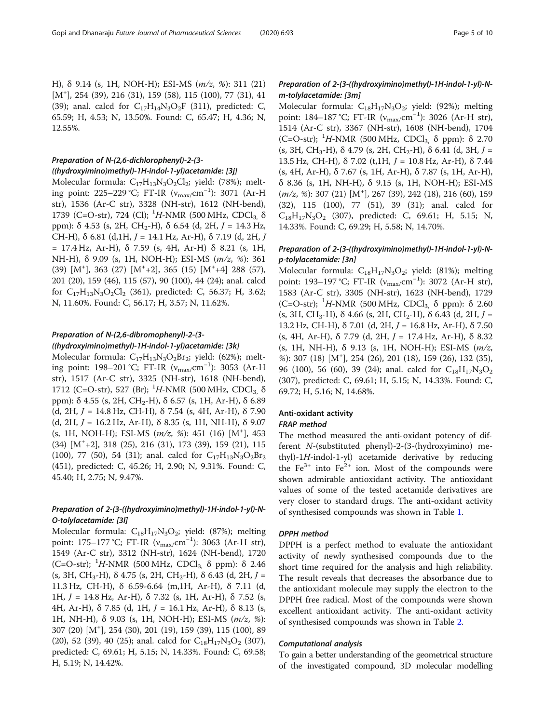H), δ 9.14 (s, 1H, NOH-H); ESI-MS (m/z, %): 311 (21) [M<sup>+</sup> ], 254 (39), 216 (31), 159 (58), 115 (100), 77 (31), 41 (39); anal. calcd for  $C_{17}H_{14}N_3O_2F$  (311), predicted: C, 65.59; H, 4.53; N, 13.50%. Found: C, 65.47; H, 4.36; N, 12.55%.

## Preparation of N-(2,6-dichlorophenyl)-2-(3-

((hydroxyimino)methyl)-1H-indol-1-yl)acetamide: [3j] Molecular formula:  $C_{17}H_{13}N_3O_2Cl_2$ ; yield: (78%); melting point: 225–229 °C; FT-IR (v<sub>max/</sub>cm<sup>−1</sup>): 3071 (Ar-H str), 1536 (Ar-C str), 3328 (NH-str), 1612 (NH-bend), 1739 (C=O-str), 724 (Cl); <sup>1</sup>H-NMR (500 MHz, CDCl<sub>3,</sub> δ ppm):  $\delta$  4.53 (s, 2H, CH<sub>2</sub>-H),  $\delta$  6.54 (d, 2H,  $J = 14.3$  Hz, CH-H),  $\delta$  6.81 (d, 1H,  $J = 14.1$  Hz, Ar-H),  $\delta$  7.19 (d, 2H,  $J$ = 17.4 Hz, Ar-H), δ 7.59 (s, 4H, Ar-H) δ 8.21 (s, 1H, NH-H), δ 9.09 (s, 1H, NOH-H); ESI-MS (m/z, %): 361  $(39)$  [M<sup>+</sup>], 363 (27) [M<sup>+</sup>+2], 365 (15) [M<sup>+</sup>+4] 288 (57), 201 (20), 159 (46), 115 (57), 90 (100), 44 (24); anal. calcd for  $C_{17}H_{13}N_3O_2Cl_2$  (361), predicted: C, 56.37; H, 3.62; N, 11.60%. Found: C, 56.17; H, 3.57; N, 11.62%.

## Preparation of N-(2,6-dibromophenyl)-2-(3-

#### ((hydroxyimino)methyl)-1H-indol-1-yl)acetamide: [3k]

Molecular formula:  $C_{17}H_{13}N_3O_2Br_2$ ; yield: (62%); melting point: 198–201 °C; FT-IR (v<sub>max/</sub>cm<sup>−1</sup>): 3053 (Ar-H str), 1517 (Ar-C str), 3325 (NH-str), 1618 (NH-bend), 1712 (C=O-str), 527 (Br); <sup>1</sup>H-NMR (500 MHz, CDCl<sub>3,</sub> δ ppm): δ 4.55 (s, 2H, CH<sub>2</sub>-H), δ 6.57 (s, 1H, Ar-H), δ 6.89 (d, 2H,  $J = 14.8$  Hz, CH-H), δ 7.54 (s, 4H, Ar-H), δ 7.90 (d, 2H,  $J = 16.2$  Hz, Ar-H), δ 8.35 (s, 1H, NH-H), δ 9.07 (s, 1H, NOH-H); ESI-MS ( $m/z$ , %): 451 (16) [M<sup>+</sup>], 453 (34) [M<sup>+</sup> +2], 318 (25), 216 (31), 173 (39), 159 (21), 115 (100), 77 (50), 54 (31); anal. calcd for  $C_{17}H_{13}N_3O_2Br_2$ (451), predicted: C, 45.26; H, 2.90; N, 9.31%. Found: C, 45.40; H, 2.75; N, 9.47%.

## Preparation of 2-(3-((hydroxyimino)methyl)-1H-indol-1-yl)-N-O-tolylacetamide: [3l]

Molecular formula:  $C_{18}H_{17}N_3O_2$ ; yield: (87%); melting point: 175−177 °C; FT-IR (v<sub>max/</sub>cm<sup>-1</sup>): 3063 (Ar-H str), 1549 (Ar-C str), 3312 (NH-str), 1624 (NH-bend), 1720 (C=O-str); <sup>1</sup>H-NMR (500 MHz, CDCl<sub>3,</sub> δ ppm): δ 2.46 (s, 3H, CH<sub>3</sub>-H),  $\delta$  4.75 (s, 2H, CH<sub>2</sub>-H),  $\delta$  6.43 (d, 2H, J = 11.3 Hz, CH-H), δ 6.59-6.64 (m,1H, Ar-H), δ 7.11 (d, 1H,  $J = 14.8$  Hz, Ar-H), δ 7.32 (s, 1H, Ar-H), δ 7.52 (s, 4H, Ar-H), δ 7.85 (d, 1H,  $J = 16.1$  Hz, Ar-H), δ 8.13 (s, 1H, NH-H), δ 9.03 (s, 1H, NOH-H); ESI-MS (m/z, %): 307 (20) [M<sup>+</sup> ], 254 (30), 201 (19), 159 (39), 115 (100), 89 (20), 52 (39), 40 (25); anal. calcd for  $C_{18}H_{17}N_3O_2$  (307), predicted: C, 69.61; H, 5.15; N, 14.33%. Found: C, 69.58; H, 5.19; N, 14.42%.

## Preparation of 2-(3-((hydroxyimino)methyl)-1H-indol-1-yl)-Nm-tolylacetamide: [3m]

Molecular formula:  $C_{18}H_{17}N_3O_2$ ; yield: (92%); melting point: 184–187 °C; FT-IR (v<sub>max/</sub>cm<sup>-1</sup>): 3026 (Ar-H str), 1514 (Ar-C str), 3367 (NH-str), 1608 (NH-bend), 1704 (C=O-str); <sup>1</sup>H-NMR (500 MHz, CDCl<sub>3,</sub> δ ppm): δ 2.70 (s, 3H, CH<sub>3</sub>-H),  $\delta$  4.79 (s, 2H, CH<sub>2</sub>-H),  $\delta$  6.41 (d, 3H, J = 13.5 Hz, CH-H), δ 7.02 (t, 1H,  $J = 10.8$  Hz, Ar-H), δ 7.44 (s, 4H, Ar-H), δ 7.67 (s, 1H, Ar-H), δ 7.87 (s, 1H, Ar-H), δ 8.36 (s, 1H, NH-H), δ 9.15 (s, 1H, NOH-H); ESI-MS (m/z, %): 307 (21) [M<sup>+</sup>], 267 (39), 242 (18), 216 (60), 159 (32), 115 (100), 77 (51), 39 (31); anal. calcd for  $C_{18}H_{17}N_3O_2$  (307), predicted: C, 69.61; H, 5.15; N, 14.33%. Found: C, 69.29; H, 5.58; N, 14.70%.

## Preparation of 2-(3-((hydroxyimino)methyl)-1H-indol-1-yl)-Np-tolylacetamide: [3n]

Molecular formula:  $C_{18}H_{17}N_3O_2$ ; yield: (81%); melting point: 193−197 °C; FT-IR (v<sub>max/</sub>cm<sup>-1</sup>): 3072 (Ar-H str), 1583 (Ar-C str), 3305 (NH-str), 1623 (NH-bend), 1729 (C=O-str); <sup>1</sup>H-NMR (500 MHz, CDCl<sub>3,</sub> δ ppm): δ 2.60 (s, 3H, CH<sub>3</sub>-H),  $\delta$  4.66 (s, 2H, CH<sub>2</sub>-H),  $\delta$  6.43 (d, 2H, J = 13.2 Hz, CH-H), δ 7.01 (d, 2H,  $J = 16.8$  Hz, Ar-H), δ 7.50 (s, 4H, Ar-H),  $\delta$  7.79 (d, 2H,  $J = 17.4$  Hz, Ar-H),  $\delta$  8.32 (s, 1H, NH-H), δ 9.13 (s, 1H, NOH-H); ESI-MS (m/z, %): 307 (18) [M<sup>+</sup> ], 254 (26), 201 (18), 159 (26), 132 (35), 96 (100), 56 (60), 39 (24); anal. calcd for  $C_{18}H_{17}N_3O_2$ (307), predicted: C, 69.61; H, 5.15; N, 14.33%. Found: C, 69.72; H, 5.16; N, 14.68%.

## Anti-oxidant activity

#### FRAP method

The method measured the anti-oxidant potency of different N-(substituted phenyl)-2-(3-(hydroxyimino) methyl)-1H-indol-1-yl) acetamide derivative by reducing the Fe<sup>3+</sup> into Fe<sup>2+</sup> ion. Most of the compounds were shown admirable antioxidant activity. The antioxidant values of some of the tested acetamide derivatives are very closer to standard drugs. The anti-oxidant activity of synthesised compounds was shown in Table [1.](#page-5-0)

## DPPH method

DPPH is a perfect method to evaluate the antioxidant activity of newly synthesised compounds due to the short time required for the analysis and high reliability. The result reveals that decreases the absorbance due to the antioxidant molecule may supply the electron to the DPPH free radical. Most of the compounds were shown excellent antioxidant activity. The anti-oxidant activity of synthesised compounds was shown in Table [2.](#page-5-0)

#### Computational analysis

To gain a better understanding of the geometrical structure of the investigated compound, 3D molecular modelling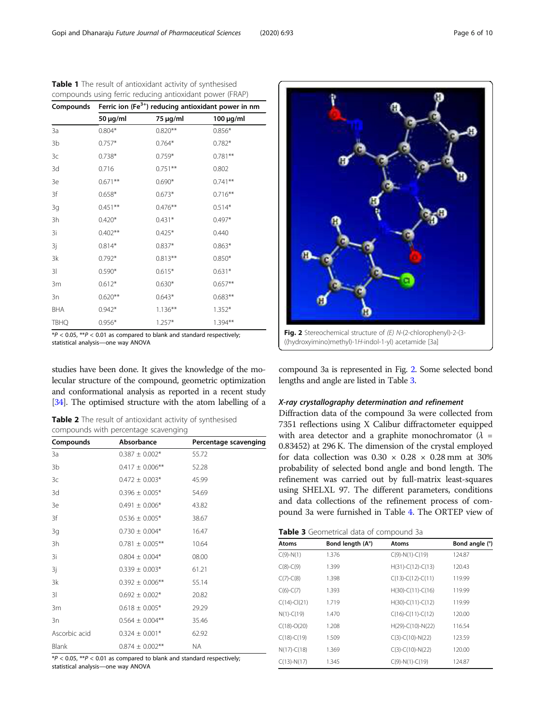| compounds using ferric reducing antioxidant power (FRAP) |                                                                   |            |                |  |  |  |
|----------------------------------------------------------|-------------------------------------------------------------------|------------|----------------|--|--|--|
|                                                          | Compounds Ferric ion $(Fe^{3+})$ reducing antioxidant power in nm |            |                |  |  |  |
|                                                          | 50 μg/ml                                                          | 75 μg/ml   | $100 \mu g/ml$ |  |  |  |
| 3a                                                       | $0.804*$                                                          | $0.820**$  | $0.856*$       |  |  |  |
| 3b                                                       | $0.757*$                                                          | $0.764*$   | $0.782*$       |  |  |  |
| 3c                                                       | $0.738*$                                                          | $0.759*$   | $0.781**$      |  |  |  |
| 3d                                                       | 0.716                                                             | $0.751***$ | 0.802          |  |  |  |
| 3e                                                       | $0.671***$                                                        | $0.690*$   | $0.741**$      |  |  |  |
| 3f                                                       | $0.658*$                                                          | $0.673*$   | $0.716***$     |  |  |  |
| 3g                                                       | $0.451***$                                                        | $0.476**$  | $0.514*$       |  |  |  |
| 3h                                                       | $0.420*$                                                          | $0.431*$   | $0.497*$       |  |  |  |
| 3i                                                       | $0.402**$                                                         | $0.425*$   | 0.440          |  |  |  |
| 3j                                                       | $0.814*$                                                          | $0.837*$   | $0.863*$       |  |  |  |
| 3k                                                       | $0.792*$                                                          | $0.813**$  | $0.850*$       |  |  |  |
| 31                                                       | $0.590*$                                                          | $0.615*$   | $0.631*$       |  |  |  |
| 3m                                                       | $0.612*$                                                          | $0.630*$   | $0.657**$      |  |  |  |
| 3n                                                       | $0.620**$                                                         | $0.643*$   | $0.683**$      |  |  |  |
| BHA                                                      | $0.942*$                                                          | $1.136***$ | $1.352*$       |  |  |  |
| TBHQ                                                     | $0.956*$                                                          | $1.257*$   | $1.394**$      |  |  |  |

<span id="page-5-0"></span>

|  |  |  |  | Table 1 The result of antioxidant activity of synthesised |  |
|--|--|--|--|-----------------------------------------------------------|--|
|  |  |  |  |                                                           |  |

 $*P < 0.05$ ,  $**P < 0.01$  as compared to blank and standard respectively; statistical analysis—one way ANOVA

studies have been done. It gives the knowledge of the molecular structure of the compound, geometric optimization and conformational analysis as reported in a recent study [[34](#page-9-0)]. The optimised structure with the atom labelling of a

| <b>Table 2</b> The result of antioxidant activity of synthesised |  |
|------------------------------------------------------------------|--|
| compounds with percentage scavenging                             |  |

| Compounds     | Absorbance           | Percentage scavenging |
|---------------|----------------------|-----------------------|
| 3a            | $0.387 \pm 0.002*$   | 55.72                 |
| 3b            | $0.417 \pm 0.006$ ** | 52.28                 |
| 3c            | $0.472 \pm 0.003*$   | 45.99                 |
| 3d            | $0.396 \pm 0.005*$   | 54.69                 |
| 3e            | $0.491 \pm 0.006*$   | 43.82                 |
| 3f            | $0.536 \pm 0.005*$   | 38.67                 |
| 3g            | $0.730 \pm 0.004*$   | 16.47                 |
| 3h            | $0.781 \pm 0.005$ ** | 10.64                 |
| 3i            | $0.804 \pm 0.004*$   | 08.00                 |
| 3j            | $0.339 \pm 0.003*$   | 61.21                 |
| 3k            | $0.392 \pm 0.006$ ** | 55.14                 |
| 31            | $0.692 \pm 0.002$ *  | 20.82                 |
| 3m            | $0.618 \pm 0.005*$   | 29.29                 |
| 3n            | $0.564 \pm 0.004$ ** | 35.46                 |
| Ascorbic acid | $0.324 \pm 0.001*$   | 62.92                 |
| Blank         | $0.874 \pm 0.002$ ** | NA.                   |

 $*P < 0.05$ ,  $**P < 0.01$  as compared to blank and standard respectively; statistical analysis—one way ANOVA



((hydroxyimino)methyl)-1H-indol-1-yl) acetamide [3a]

compound 3a is represented in Fig. 2. Some selected bond lengths and angle are listed in Table 3.

#### X-ray crystallography determination and refinement

Diffraction data of the compound 3a were collected from 7351 reflections using X Calibur diffractometer equipped with area detector and a graphite monochromator  $(\lambda =$ 0.83452) at 296 K. The dimension of the crystal employed for data collection was  $0.30 \times 0.28 \times 0.28$  mm at 30% probability of selected bond angle and bond length. The refinement was carried out by full-matrix least-squares using SHELXL 97. The different parameters, conditions and data collections of the refinement process of compound 3a were furnished in Table [4.](#page-6-0) The ORTEP view of

| Table 3 Geometrical data of compound 3a |  |
|-----------------------------------------|--|
|-----------------------------------------|--|

| Atoms         | Bond length (A°) | Atoms               | Bond angle (°) |
|---------------|------------------|---------------------|----------------|
| $C(9)-N(1)$   | 1.376            | $C(9)-N(1)-C(19)$   | 124.87         |
| $C(8)-C(9)$   | 1.399            | $H(31)-C(12)-C(13)$ | 120.43         |
| $C(7)-C(8)$   | 1.398            | $C(13)-C(12)-C(11)$ | 119.99         |
| $C(6)-C(7)$   | 1.393            | $H(30)-C(11)-C(16)$ | 119.99         |
| $C(14)-C(21)$ | 1.719            | $H(30)-C(11)-C(12)$ | 119.99         |
| $N(1)-C(19)$  | 1.470            | $C(16)-C(11)-C(12)$ | 120.00         |
| $C(18)-O(20)$ | 1.208            | $H(29)-C(10)-N(22)$ | 116.54         |
| $C(18)-C(19)$ | 1.509            | $C(3)-C(10)-N(22)$  | 123.59         |
| $N(17)-C(18)$ | 1.369            | $C(3)-C(10)-N(22)$  | 120.00         |
| $C(13)-N(17)$ | 1.345            | $C(9)-N(1)-C(19)$   | 124.87         |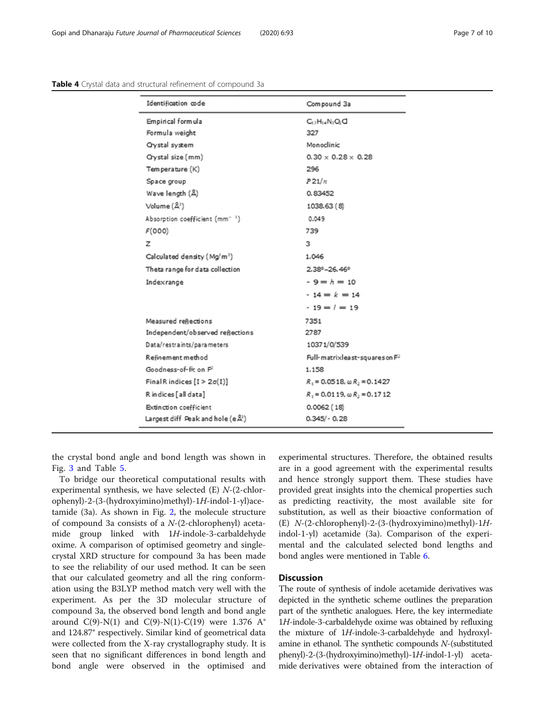<span id="page-6-0"></span>

| <b>Table 4</b> Crystal data and structural refinement of compound 3a |  |  |
|----------------------------------------------------------------------|--|--|
|----------------------------------------------------------------------|--|--|

| Identification code                               | Compound 3a                            |
|---------------------------------------------------|----------------------------------------|
| Empirical formula                                 | $C_{12}H_{14}N_3O_2C$                  |
| Formula weight                                    | 327                                    |
| <b>Crystal system</b>                             | Monoclinic                             |
| Crystal size (mm)                                 | $0.30 \times 0.28 \times 0.28$         |
| Temperature (K)                                   | 296                                    |
| Space group                                       | P21/n                                  |
| Wave length (A)                                   | 0.83452                                |
| Volume $(\mathbb{A}^3)$                           | 1038.63 (8)                            |
| Absorption coefficient (mm <sup>-1</sup> )        | 0.049                                  |
| F(000)                                            | 739                                    |
| z                                                 | з                                      |
| Calculated density (Mg/m <sup>3</sup> )           | 1.046                                  |
| Theta range for data collection                   | $2.38^{\circ} - 26.46^{\circ}$         |
| Indexrange                                        | $-9 = h = 10$                          |
|                                                   | $-14 = k = 14$                         |
|                                                   | $-19 = 1 = 19$                         |
| Measured reflections                              | 7351                                   |
| Independent/observed reflections                  | 2787                                   |
| Data/restraints/parameters                        | 10371/0/539                            |
| Refinement method                                 | Full-matrixleast-squares on F2         |
| Goodness-of-fic on P                              | 1.158                                  |
| Final R indices $[I > 2\sigma(I)]$                | $R_1 = 0.0518$ , $\omega R_2 = 0.1427$ |
| R indices [all data]                              | $R_1 = 0.0119$ , $\omega R_2 = 0.1712$ |
| Extinction coefficient                            | 0.0062(18)                             |
| Largest diff. Peak and hole (e $\mathbb{A}^{1}$ ) | $0.345/-0.28$                          |

the crystal bond angle and bond length was shown in Fig. [3](#page-7-0) and Table [5](#page-7-0).

To bridge our theoretical computational results with experimental synthesis, we have selected (E) N-(2-chlorophenyl)-2-(3-(hydroxyimino)methyl)-1H-indol-1-yl)acetamide (3a). As shown in Fig. [2](#page-5-0), the molecule structure of compound 3a consists of a N-(2-chlorophenyl) acetamide group linked with 1H-indole-3-carbaldehyde oxime. A comparison of optimised geometry and singlecrystal XRD structure for compound 3a has been made to see the reliability of our used method. It can be seen that our calculated geometry and all the ring conformation using the B3LYP method match very well with the experiment. As per the 3D molecular structure of compound 3a, the observed bond length and bond angle around C(9)-N(1) and C(9)-N(1)-C(19) were 1.376 A $^{\circ}$ and 124.87° respectively. Similar kind of geometrical data were collected from the X-ray crystallography study. It is seen that no significant differences in bond length and bond angle were observed in the optimised and experimental structures. Therefore, the obtained results are in a good agreement with the experimental results and hence strongly support them. These studies have provided great insights into the chemical properties such as predicting reactivity, the most available site for substitution, as well as their bioactive conformation of (E) N-(2-chlorophenyl)-2-(3-(hydroxyimino)methyl)-1Hindol-1-yl) acetamide (3a). Comparison of the experimental and the calculated selected bond lengths and bond angles were mentioned in Table [6.](#page-7-0)

## **Discussion**

The route of synthesis of indole acetamide derivatives was depicted in the synthetic scheme outlines the preparation part of the synthetic analogues. Here, the key intermediate 1H-indole-3-carbaldehyde oxime was obtained by refluxing the mixture of 1H-indole-3-carbaldehyde and hydroxylamine in ethanol. The synthetic compounds N-(substituted phenyl)-2-(3-(hydroxyimino)methyl)-1H-indol-1-yl) acetamide derivatives were obtained from the interaction of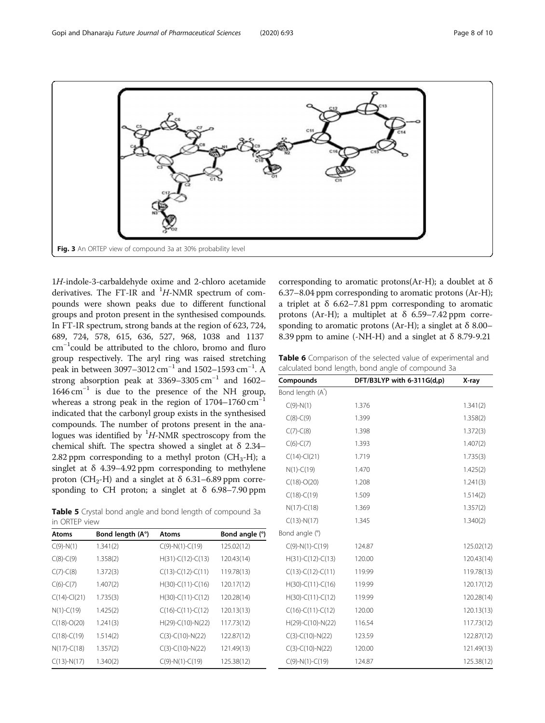<span id="page-7-0"></span>

1H-indole-3-carbaldehyde oxime and 2-chloro acetamide derivatives. The FT-IR and  $^{1}H$ -NMR spectrum of compounds were shown peaks due to different functional groups and proton present in the synthesised compounds. In FT-IR spectrum, strong bands at the region of 623, 724, 689, 724, 578, 615, 636, 527, 968, 1038 and 1137 cm−<sup>1</sup> could be attributed to the chloro, bromo and fluro group respectively. The aryl ring was raised stretching peak in between 3097–3012 cm<sup>-1</sup> and 1502–1593 cm<sup>-1</sup>. A strong absorption peak at  $3369-3305$  cm<sup>-1</sup> and 1602–  $1646 \text{ cm}^{-1}$  is due to the presence of the NH group, whereas a strong peak in the region of  $1704-1760$  cm<sup>-1</sup> indicated that the carbonyl group exists in the synthesised compounds. The number of protons present in the analogues was identified by  ${}^{1}H$ -NMR spectroscopy from the chemical shift. The spectra showed a singlet at  $\delta$  2.34– 2.82 ppm corresponding to a methyl proton  $(CH_3-H)$ ; a singlet at  $\delta$  4.39–4.92 ppm corresponding to methylene proton (CH<sub>2</sub>-H) and a singlet at  $\delta$  6.31–6.89 ppm corresponding to CH proton; a singlet at  $\delta$  6.98–7.90 ppm

Table 5 Crystal bond angle and bond length of compound 3a in ORTEP view

| Atoms         | Bond length (A°) | Atoms               | Bond angle (°) |
|---------------|------------------|---------------------|----------------|
| $C(9)-N(1)$   | 1.341(2)         | $C(9)-N(1)-C(19)$   | 125.02(12)     |
| $C(8)-C(9)$   | 1.358(2)         | $H(31)-C(12)-C(13)$ | 120.43(14)     |
| $C(7)-C(8)$   | 1.372(3)         | $C(13)-C(12)-C(11)$ | 119.78(13)     |
| $C(6)-C(7)$   | 1.407(2)         | $H(30)-C(11)-C(16)$ | 120.17(12)     |
| $C(14)-C(21)$ | 1.735(3)         | $H(30)-C(11)-C(12)$ | 120.28(14)     |
| $N(1)-C(19)$  | 1.425(2)         | $C(16)-C(11)-C(12)$ | 120.13(13)     |
| $C(18)-O(20)$ | 1.241(3)         | $H(29)-C(10)-N(22)$ | 117.73(12)     |
| $C(18)-C(19)$ | 1.514(2)         | $C(3)-C(10)-N(22)$  | 122.87(12)     |
| $N(17)-C(18)$ | 1.357(2)         | $C(3)-C(10)-N(22)$  | 121.49(13)     |
| $C(13)-N(17)$ | 1.340(2)         | $C(9)-N(1)-C(19)$   | 125.38(12)     |

corresponding to aromatic protons(Ar-H); a doublet at  $\delta$ 6.37–8.04 ppm corresponding to aromatic protons (Ar-H); a triplet at  $\delta$  6.62–7.81 ppm corresponding to aromatic protons (Ar-H); a multiplet at  $\delta$  6.59–7.42 ppm corresponding to aromatic protons (Ar-H); a singlet at  $\delta$  8.00– 8.39 ppm to amine (-NH-H) and a singlet at  $\delta$  8.79-9.21

Table 6 Comparison of the selected value of experimental and calculated bond length, bond angle of compound 3a

| Compounds           | DFT/B3LYP with 6-311G(d,p) | X-ray      |
|---------------------|----------------------------|------------|
| Bond length (A)     |                            |            |
| $C(9)-N(1)$         | 1.376                      | 1.341(2)   |
| $C(8)-C(9)$         | 1.399                      | 1.358(2)   |
| $C(7)-C(8)$         | 1.398                      | 1.372(3)   |
| $C(6)-C(7)$         | 1.393                      | 1.407(2)   |
| $C(14)-C(21)$       | 1.719                      | 1.735(3)   |
| $N(1)-C(19)$        | 1.470                      | 1.425(2)   |
| $C(18)-O(20)$       | 1.208                      | 1.241(3)   |
| $C(18)-C(19)$       | 1.509                      | 1.514(2)   |
| $N(17)-C(18)$       | 1.369                      | 1.357(2)   |
| $C(13)-N(17)$       | 1.345                      | 1.340(2)   |
| Bond angle (°)      |                            |            |
| $C(9)-N(1)-C(19)$   | 124.87                     | 125.02(12) |
| $H(31)-C(12)-C(13)$ | 120.00                     | 120.43(14) |
| $C(13)-C(12)-C(11)$ | 119.99                     | 119.78(13) |
| $H(30)-C(11)-C(16)$ | 119.99                     | 120.17(12) |
| $H(30)-C(11)-C(12)$ | 119.99                     | 120.28(14) |
| $C(16)-C(11)-C(12)$ | 120.00                     | 120.13(13) |
| $H(29)-C(10)-N(22)$ | 116.54                     | 117.73(12) |
| $C(3)-C(10)-N(22)$  | 123.59                     | 122.87(12) |
| $C(3)-C(10)-N(22)$  | 120.00                     | 121.49(13) |
| $C(9)-N(1)-C(19)$   | 124.87                     | 125.38(12) |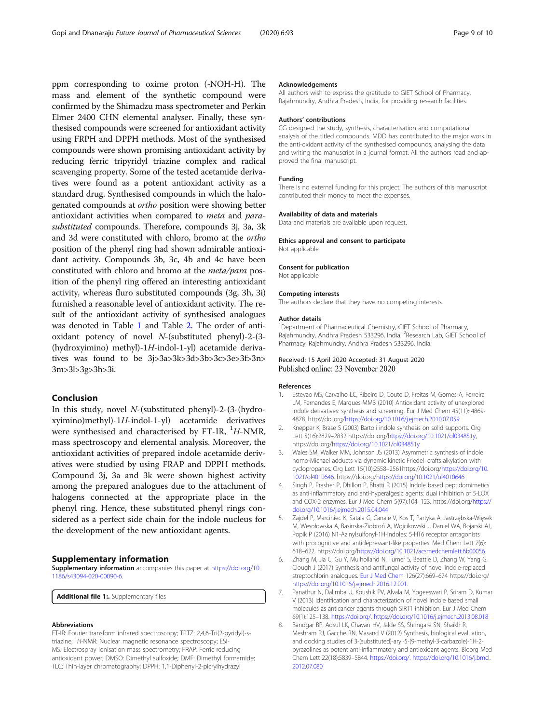<span id="page-8-0"></span>ppm corresponding to oxime proton (-NOH-H). The mass and element of the synthetic compound were confirmed by the Shimadzu mass spectrometer and Perkin Elmer 2400 CHN elemental analyser. Finally, these synthesised compounds were screened for antioxidant activity using FRPH and DPPH methods. Most of the synthesised compounds were shown promising antioxidant activity by reducing ferric tripyridyl triazine complex and radical scavenging property. Some of the tested acetamide derivatives were found as a potent antioxidant activity as a standard drug. Synthesised compounds in which the halogenated compounds at ortho position were showing better antioxidant activities when compared to meta and parasubstituted compounds. Therefore, compounds 3j, 3a, 3k and 3d were constituted with chloro, bromo at the ortho position of the phenyl ring had shown admirable antioxidant activity. Compounds 3b, 3c, 4b and 4c have been constituted with chloro and bromo at the meta/para position of the phenyl ring offered an interesting antioxidant activity, whereas fluro substituted compounds (3g, 3h, 3i) furnished a reasonable level of antioxidant activity. The result of the antioxidant activity of synthesised analogues was denoted in Table [1](#page-5-0) and Table [2.](#page-5-0) The order of antioxidant potency of novel N-(substituted phenyl)-2-(3- (hydroxyimino) methyl)-1H-indol-1-yl) acetamide derivatives was found to be 3j>3a>3k>3d>3b>3c>3e>3f>3n> 3m>3l>3g>3h>3i.

## Conclusion

In this study, novel N-(substituted phenyl)-2-(3-(hydroxyimino)methyl)-1H-indol-1-yl) acetamide derivatives were synthesised and characterised by FT-IR,  $^{1}H$ -NMR, mass spectroscopy and elemental analysis. Moreover, the antioxidant activities of prepared indole acetamide derivatives were studied by using FRAP and DPPH methods. Compound 3j, 3a and 3k were shown highest activity among the prepared analogues due to the attachment of halogens connected at the appropriate place in the phenyl ring. Hence, these substituted phenyl rings considered as a perfect side chain for the indole nucleus for the development of the new antioxidant agents.

#### Supplementary information

Supplementary information accompanies this paper at [https://doi.org/10.](https://doi.org/10.1186/s43094-020-00090-6) [1186/s43094-020-00090-6](https://doi.org/10.1186/s43094-020-00090-6).

Additional file 1:. Supplementary files

#### Abbreviations

FT-IR: Fourier transform infrared spectroscopy; TPTZ: 2,4,6-Tri(2-pyridyl)-striazine; <sup>1</sup>H-NMR: Nuclear magnetic resonance spectroscopy; ESI-MS: Electrospray ionisation mass spectrometry; FRAP: Ferric reducing antioxidant power; DMSO: Dimethyl sulfoxide; DMF: Dimethyl formamide; TLC: Thin-layer chromatography; DPPH: 1,1-Diphenyl-2-picrylhydrazyl

#### Acknowledgements

All authors wish to express the gratitude to GIET School of Pharmacy, Rajahmundry, Andhra Pradesh, India, for providing research facilities.

#### Authors' contributions

CG designed the study, synthesis, characterisation and computational analysis of the titled compounds. MDD has contributed to the major work in the anti-oxidant activity of the synthesised compounds, analysing the data and writing the manuscript in a journal format. All the authors read and approved the final manuscript.

#### Funding

There is no external funding for this project. The authors of this manuscript contributed their money to meet the expenses.

#### Availability of data and materials

Data and materials are available upon request.

#### Ethics approval and consent to participate

Not applicable

## Consent for publication

Not applicable

#### Competing interests

The authors declare that they have no competing interests.

#### Author details

<sup>1</sup>Department of Pharmaceutical Chemistry, GIET School of Pharmacy, Rajahmundry, Andhra Pradesh 533296, India. <sup>2</sup>Research Lab, GIET School of Pharmacy, Rajahmundry, Andhra Pradesh 533296, India.

#### Received: 15 April 2020 Accepted: 31 August 2020 Published online: 23 November 2020

#### References

- Estevao MS, Carvalho LC, Ribeiro D, Couto D, Freitas M, Gomes A, Ferreira LM, Fernandes E, Marques MMB (2010) Antioxidant activity of unexplored indole derivatives: synthesis and screening. Eur J Med Chem 45(11): 4869- 4878. http://doi.org[/https://doi.org/10.1016/j.ejmech.2010.07.059](https://doi.org/10.1016/j.ejmech.2010.07.059)
- 2. Knepper K, Brase S (2003) Bartoli indole synthesis on solid supports. Org Lett 5(16):2829–2832 https://doi.org/<https://doi.org/10.1021/ol034851y>, https://doi.org/<https://doi.org/10.1021/ol034851y>
- 3. Wales SM, Walker MM, Johnson JS (2013) Asymmetric synthesis of indole homo-Michael adducts via dynamic kinetic Friedel–crafts alkylation with cyclopropanes. Org Lett 15(10):2558–2561https://doi.org/[https://doi.org/10.](https://doi.org/10.1021/ol4010646) [1021/ol4010646.](https://doi.org/10.1021/ol4010646) https://doi.org[/https://doi.org/10.1021/ol4010646](https://doi.org/10.1021/ol4010646)
- 4. Singh P, Prasher P, Dhillon P, Bhatti R (2015) Indole based peptidomimetics as anti-inflammatory and anti-hyperalgesic agents: dual inhibition of 5-LOX and COX-2 enzymes. Eur J Med Chem 5(97):104–123. https://doi.org/[https://](https://doi.org/10.1016/j.ejmech.2015.04.044) [doi.org/10.1016/j.ejmech.2015.04.044](https://doi.org/10.1016/j.ejmech.2015.04.044)
- 5. Zajdel P, Marciniec K, Satala G, Canale V, Kos T, Partyka A, Jastrzębska-Więsek M, Wesołowska A, Basinska-Ziobroń A, Wojcikowski J, Daniel WA, Bojarski AJ, Popik P (2016) N1-Azinylsulfonyl-1H-indoles: 5-HT6 receptor antagonists with procognitive and antidepressant-like properties. Med Chem Lett 7(6): 618–622. https://doi.org[/https://doi.org/10.1021/acsmedchemlett.6b00056](https://doi.org/10.1021/acsmedchemlett.6b00056).
- 6. Zhang M, Jia C, Gu Y, Mulholland N, Turner S, Beattie D, Zhang W, Yang G, Clough J (2017) Synthesis and antifungal activity of novel indole-replaced streptochlorin analogues. [Eur J Med Chem](https://www.ncbi.nlm.nih.gov/pubmed/25956953) 126(27):669–674 https://doi.org/ [https://doi.org/10.1016/j.ejmech.2016.12.001.](https://doi.org/10.1016/j.ejmech.2016.12.001)
- 7. Panathur N, Dalimba U, Koushik PV, Alvala M, Yogeeswari P, Sriram D, Kumar V (2013) Identification and characterization of novel indole based small molecules as anticancer agents through SIRT1 inhibition. Eur J Med Chem 69(1):125–138. [https://doi.org/](https://doi.org/10.1016/j.ejmech.2016.12.001). <https://doi.org/10.1016/j.ejmech.2013.08.018>
- 8. Bandgar BP, Adsul LK, Chavan HV, Jalde SS, Shringare SN, Shaikh R, Meshram RJ, Gacche RN, Masand V (2012) Synthesis, biological evaluation, and docking studies of 3-(substituted)-aryl-5-(9-methyl-3-carbazole)-1H-2 pyrazolines as potent anti-inflammatory and antioxidant agents. Bioorg Med Chem Lett 22(18):5839–5844. [https://doi.org/.](https://doi.org/10.1016/j.ejmech.2016.12.001) [https://doi.org/10.1016/j.bmcl.](https://doi.org/10.1016/j.bmcl.2012.07.080) [2012.07.080](https://doi.org/10.1016/j.bmcl.2012.07.080)